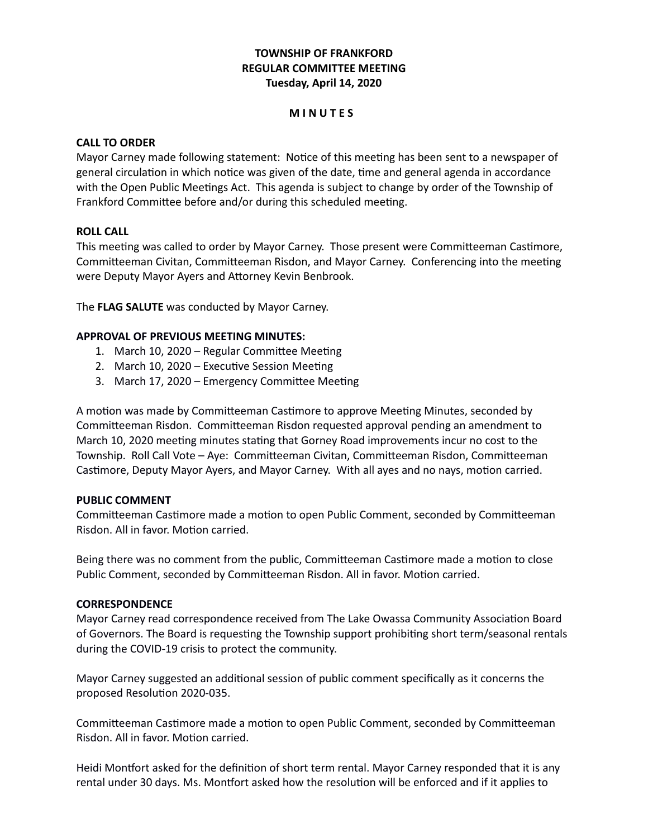## **TOWNSHIP OF FRANKFORD REGULAR COMMITTEE MEETING Tuesday, April 14, 2020**

#### **M I N U T E S**

#### **CALL TO ORDER**

Mayor Carney made following statement: Notice of this meeting has been sent to a newspaper of general circulation in which notice was given of the date, time and general agenda in accordance with the Open Public Meetings Act. This agenda is subject to change by order of the Township of Frankford Committee before and/or during this scheduled meeting.

#### **ROLL CALL**

This meeting was called to order by Mayor Carney. Those present were Committeeman Castimore, Committeeman Civitan, Committeeman Risdon, and Mayor Carney. Conferencing into the meeting were Deputy Mayor Ayers and Attorney Kevin Benbrook.

The **FLAG SALUTE** was conducted by Mayor Carney.

#### **APPROVAL OF PREVIOUS MEETING MINUTES:**

- 1. March 10, 2020 Regular Committee Meeting
- 2. March 10, 2020 Executive Session Meeting
- 3. March 17, 2020 Emergency Committee Meeting

A motion was made by Committeeman Castimore to approve Meeting Minutes, seconded by Committeeman Risdon. Committeeman Risdon requested approval pending an amendment to March 10, 2020 meeting minutes stating that Gorney Road improvements incur no cost to the Township. Roll Call Vote – Aye: Committeeman Civitan, Committeeman Risdon, Committeeman Castimore, Deputy Mayor Ayers, and Mayor Carney. With all ayes and no nays, motion carried.

#### **PUBLIC COMMENT**

Committeeman Castimore made a motion to open Public Comment, seconded by Committeeman Risdon. All in favor. Motion carried.

Being there was no comment from the public, Committeeman Castimore made a motion to close Public Comment, seconded by Committeeman Risdon. All in favor. Motion carried.

#### **CORRESPONDENCE**

Mayor Carney read correspondence received from The Lake Owassa Community Association Board of Governors. The Board is requesting the Township support prohibiting short term/seasonal rentals during the COVID-19 crisis to protect the community.

Mayor Carney suggested an additional session of public comment specifically as it concerns the proposed Resolution 2020-035.

Committeeman Castimore made a motion to open Public Comment, seconded by Committeeman Risdon. All in favor. Motion carried.

Heidi Montfort asked for the definition of short term rental. Mayor Carney responded that it is any rental under 30 days. Ms. Montfort asked how the resolution will be enforced and if it applies to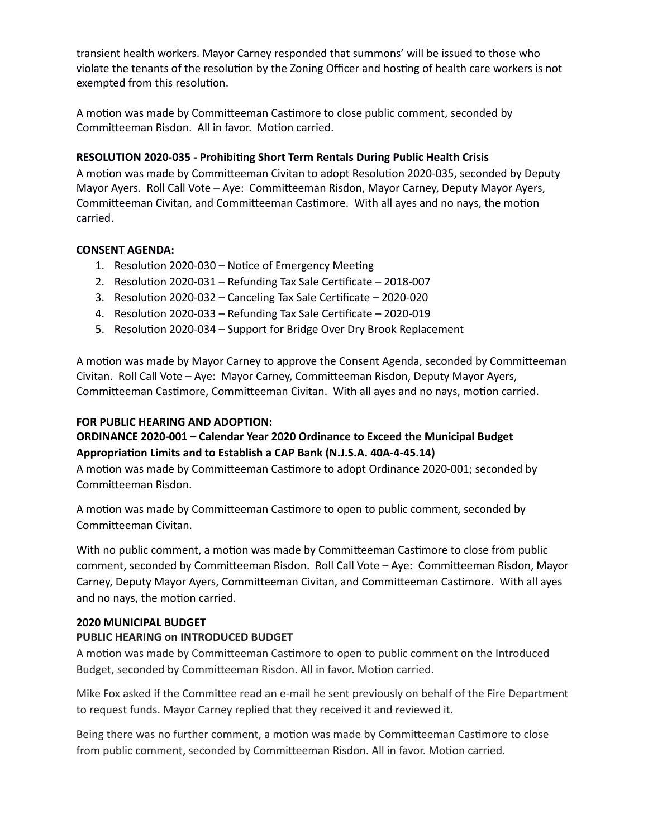transient health workers. Mayor Carney responded that summons' will be issued to those who violate the tenants of the resolution by the Zoning Officer and hosting of health care workers is not exempted from this resolution.

A motion was made by Committeeman Castimore to close public comment, seconded by Committeeman Risdon. All in favor. Motion carried.

## **RESOLUTION 2020-035 - Prohibiting Short Term Rentals During Public Health Crisis**

A motion was made by Committeeman Civitan to adopt Resolution 2020-035, seconded by Deputy Mayor Ayers. Roll Call Vote – Aye: Committeeman Risdon, Mayor Carney, Deputy Mayor Ayers, Committeeman Civitan, and Committeeman Castimore. With all ayes and no nays, the motion carried.

## **CONSENT AGENDA:**

- 1. Resolution 2020-030 Notice of Emergency Meeting
- 2. Resolution 2020-031 Refunding Tax Sale Certificate 2018-007
- 3. Resolution 2020-032 Canceling Tax Sale Certificate 2020-020
- 4. Resolution 2020-033 Refunding Tax Sale Certificate 2020-019
- 5. Resolution 2020-034 Support for Bridge Over Dry Brook Replacement

A motion was made by Mayor Carney to approve the Consent Agenda, seconded by Committeeman Civitan. Roll Call Vote – Aye: Mayor Carney, Committeeman Risdon, Deputy Mayor Ayers, Committeeman Castimore, Committeeman Civitan. With all ayes and no nays, motion carried.

## **FOR PUBLIC HEARING AND ADOPTION:**

## **ORDINANCE 2020-001 – Calendar Year 2020 Ordinance to Exceed the Municipal Budget Appropriation Limits and to Establish a CAP Bank (N.J.S.A. 40A-4-45.14)**

A motion was made by Committeeman Castimore to adopt Ordinance 2020-001; seconded by Committeeman Risdon.

A motion was made by Committeeman Castimore to open to public comment, seconded by Committeeman Civitan.

With no public comment, a motion was made by Committeeman Castimore to close from public comment, seconded by Committeeman Risdon. Roll Call Vote – Aye: Committeeman Risdon, Mayor Carney, Deputy Mayor Ayers, Committeeman Civitan, and Committeeman Castimore. With all ayes and no nays, the motion carried.

## **2020 MUNICIPAL BUDGET**

## **PUBLIC HEARING on INTRODUCED BUDGET**

A motion was made by Committeeman Castimore to open to public comment on the Introduced Budget, seconded by Committeeman Risdon. All in favor. Motion carried.

Mike Fox asked if the Committee read an e-mail he sent previously on behalf of the Fire Department to request funds. Mayor Carney replied that they received it and reviewed it.

Being there was no further comment, a motion was made by Committeeman Castimore to close from public comment, seconded by Committeeman Risdon. All in favor. Motion carried.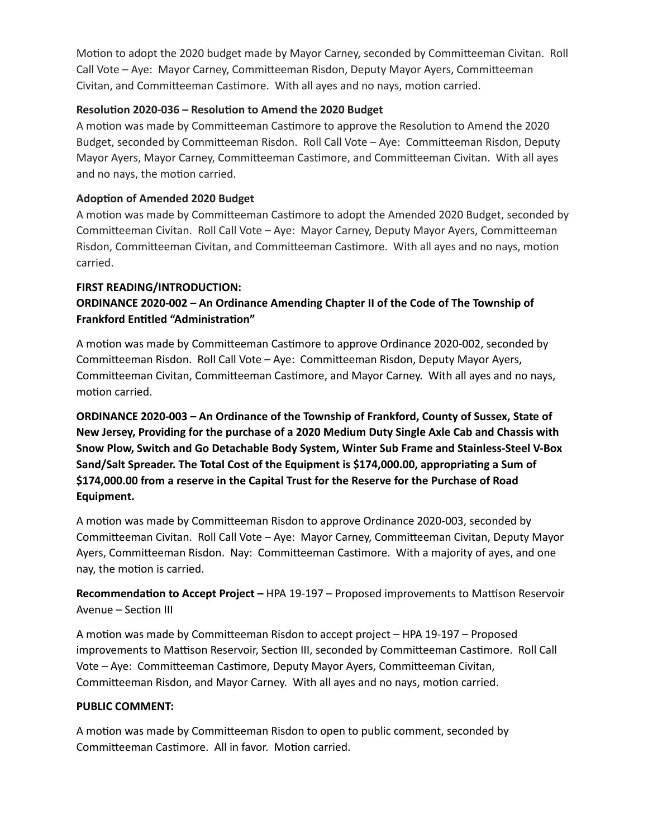Motion to adopt the 2020 budget made by Mayor Carney, seconded by Committeeman Civitan. Roll Call Vote – Aye: Mayor Carney, Committeeman Risdon, Deputy Mayor Ayers, Committeeman Civitan, and Committeeman Castimore. With all ayes and no nays, motion carried.

#### **Resolution 2020-036 – Resolution to Amend the 2020 Budget**

A motion was made by Committeeman Castimore to approve the Resolution to Amend the 2020 Budget, seconded by Committeeman Risdon. Roll Call Vote – Aye: Committeeman Risdon, Deputy Mayor Ayers, Mayor Carney, Committeeman Castimore, and Committeeman Civitan. With all ayes and no nays, the motion carried.

## **Adoption of Amended 2020 Budget**

A motion was made by Committeeman Castimore to adopt the Amended 2020 Budget, seconded by Committeeman Civitan. Roll Call Vote – Aye: Mayor Carney, Deputy Mayor Ayers, Committeeman Risdon, Committeeman Civitan, and Committeeman Castimore. With all ayes and no nays, motion carried.

#### **FIRST READING/INTRODUCTION:**

# **ORDINANCE 2020-002 – An Ordinance Amending Chapter II of the Code of The Township of Frankford Entitled "Administration"**

A motion was made by Committeeman Castimore to approve Ordinance 2020-002, seconded by Committeeman Risdon. Roll Call Vote – Aye: Committeeman Risdon, Deputy Mayor Ayers, Committeeman Civitan, Committeeman Castimore, and Mayor Carney. With all ayes and no nays, motion carried.

**ORDINANCE 2020-003 – An Ordinance of the Township of Frankford, County of Sussex, State of New Jersey, Providing for the purchase of a 2020 Medium Duty Single Axle Cab and Chassis with Snow Plow, Switch and Go Detachable Body System, Winter Sub Frame and Stainless-Steel V-Box Sand/Salt Spreader. The Total Cost of the Equipment is \$174,000.00, appropriating a Sum of \$174,000.00 from a reserve in the Capital Trust for the Reserve for the Purchase of Road Equipment.**

A motion was made by Committeeman Risdon to approve Ordinance 2020-003, seconded by Committeeman Civitan. Roll Call Vote – Aye: Mayor Carney, Committeeman Civitan, Deputy Mayor Ayers, Committeeman Risdon. Nay: Committeeman Castimore. With a majority of ayes, and one nay, the motion is carried.

**Recommendation to Accept Project –** HPA 19-197 – Proposed improvements to Mattison Reservoir Avenue – Section III

A motion was made by Committeeman Risdon to accept project – HPA 19-197 – Proposed improvements to Mattison Reservoir, Section III, seconded by Committeeman Castimore. Roll Call Vote – Aye: Committeeman Castimore, Deputy Mayor Ayers, Committeeman Civitan, Committeeman Risdon, and Mayor Carney. With all ayes and no nays, motion carried.

## **PUBLIC COMMENT:**

A motion was made by Committeeman Risdon to open to public comment, seconded by Committeeman Castimore. All in favor. Motion carried.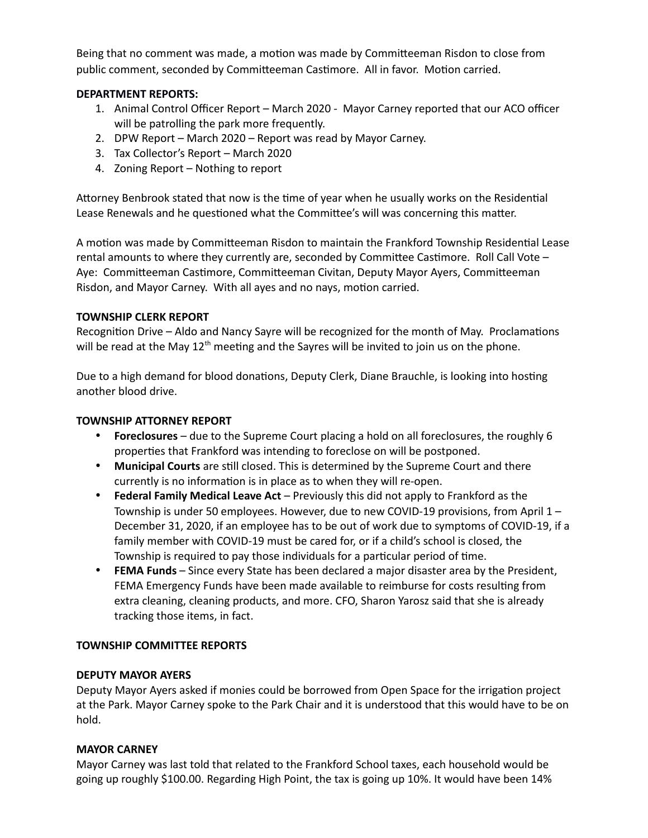Being that no comment was made, a motion was made by Committeeman Risdon to close from public comment, seconded by Committeeman Castimore. All in favor. Motion carried.

## **DEPARTMENT REPORTS:**

- 1. Animal Control Officer Report March 2020 Mayor Carney reported that our ACO officer will be patrolling the park more frequently.
- 2. DPW Report March 2020 Report was read by Mayor Carney.
- 3. Tax Collector's Report March 2020
- 4. Zoning Report Nothing to report

Attorney Benbrook stated that now is the time of year when he usually works on the Residential Lease Renewals and he questioned what the Committee's will was concerning this matter.

A motion was made by Committeeman Risdon to maintain the Frankford Township Residential Lease rental amounts to where they currently are, seconded by Committee Castimore. Roll Call Vote – Aye: Committeeman Castimore, Committeeman Civitan, Deputy Mayor Ayers, Committeeman Risdon, and Mayor Carney. With all ayes and no nays, motion carried.

## **TOWNSHIP CLERK REPORT**

Recognition Drive – Aldo and Nancy Sayre will be recognized for the month of May. Proclamations will be read at the May  $12<sup>th</sup>$  meeting and the Sayres will be invited to join us on the phone.

Due to a high demand for blood donations, Deputy Clerk, Diane Brauchle, is looking into hosting another blood drive.

## **TOWNSHIP ATTORNEY REPORT**

- **Foreclosures** due to the Supreme Court placing a hold on all foreclosures, the roughly 6 properties that Frankford was intending to foreclose on will be postponed.
- **Municipal Courts** are still closed. This is determined by the Supreme Court and there currently is no information is in place as to when they will re-open.
- **Federal Family Medical Leave Act** Previously this did not apply to Frankford as the Township is under 50 employees. However, due to new COVID-19 provisions, from April 1 – December 31, 2020, if an employee has to be out of work due to symptoms of COVID-19, if a family member with COVID-19 must be cared for, or if a child's school is closed, the Township is required to pay those individuals for a particular period of time.
- **FEMA Funds** Since every State has been declared a major disaster area by the President, FEMA Emergency Funds have been made available to reimburse for costs resulting from extra cleaning, cleaning products, and more. CFO, Sharon Yarosz said that she is already tracking those items, in fact.

## **TOWNSHIP COMMITTEE REPORTS**

## **DEPUTY MAYOR AYERS**

Deputy Mayor Ayers asked if monies could be borrowed from Open Space for the irrigation project at the Park. Mayor Carney spoke to the Park Chair and it is understood that this would have to be on hold.

## **MAYOR CARNEY**

Mayor Carney was last told that related to the Frankford School taxes, each household would be going up roughly \$100.00. Regarding High Point, the tax is going up 10%. It would have been 14%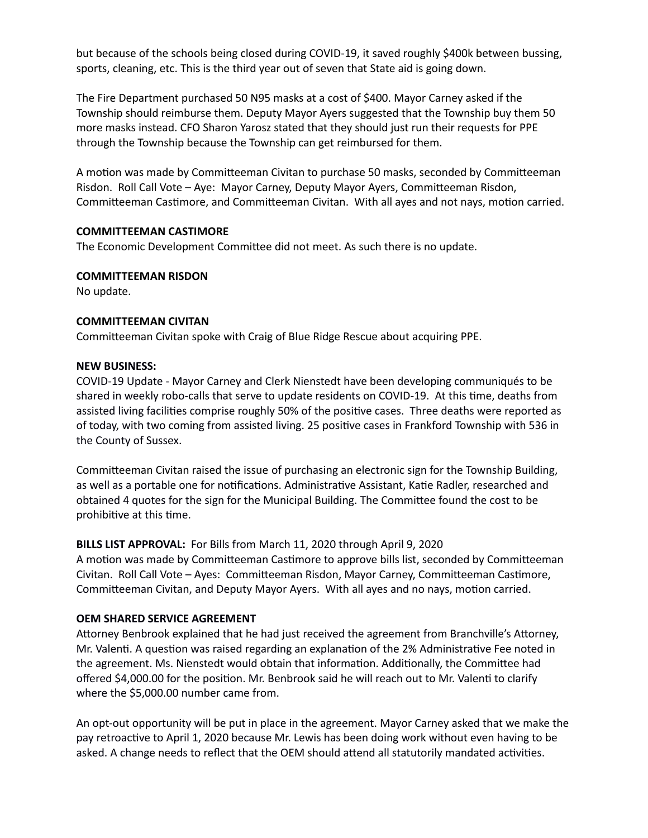but because of the schools being closed during COVID-19, it saved roughly \$400k between bussing, sports, cleaning, etc. This is the third year out of seven that State aid is going down.

The Fire Department purchased 50 N95 masks at a cost of \$400. Mayor Carney asked if the Township should reimburse them. Deputy Mayor Ayers suggested that the Township buy them 50 more masks instead. CFO Sharon Yarosz stated that they should just run their requests for PPE through the Township because the Township can get reimbursed for them.

A motion was made by Committeeman Civitan to purchase 50 masks, seconded by Committeeman Risdon. Roll Call Vote – Aye: Mayor Carney, Deputy Mayor Ayers, Committeeman Risdon, Committeeman Castimore, and Committeeman Civitan. With all ayes and not nays, motion carried.

#### **COMMITTEEMAN CASTIMORE**

The Economic Development Committee did not meet. As such there is no update.

#### **COMMITTEEMAN RISDON**

No update.

#### **COMMITTEEMAN CIVITAN**

Committeeman Civitan spoke with Craig of Blue Ridge Rescue about acquiring PPE.

#### **NEW BUSINESS:**

COVID-19 Update - Mayor Carney and Clerk Nienstedt have been developing communiqués to be shared in weekly robo-calls that serve to update residents on COVID-19. At this time, deaths from assisted living facilities comprise roughly 50% of the positive cases. Three deaths were reported as of today, with two coming from assisted living. 25 positive cases in Frankford Township with 536 in the County of Sussex.

Committeeman Civitan raised the issue of purchasing an electronic sign for the Township Building, as well as a portable one for notifications. Administrative Assistant, Katie Radler, researched and obtained 4 quotes for the sign for the Municipal Building. The Committee found the cost to be prohibitive at this time.

## **BILLS LIST APPROVAL:** For Bills from March 11, 2020 through April 9, 2020

A motion was made by Committeeman Castimore to approve bills list, seconded by Committeeman Civitan. Roll Call Vote – Ayes: Committeeman Risdon, Mayor Carney, Committeeman Castimore, Committeeman Civitan, and Deputy Mayor Ayers. With all ayes and no nays, motion carried.

#### **OEM SHARED SERVICE AGREEMENT**

Attorney Benbrook explained that he had just received the agreement from Branchville's Attorney, Mr. Valenti. A question was raised regarding an explanation of the 2% Administrative Fee noted in the agreement. Ms. Nienstedt would obtain that information. Additionally, the Committee had offered \$4,000.00 for the position. Mr. Benbrook said he will reach out to Mr. Valenti to clarify where the \$5,000.00 number came from.

An opt-out opportunity will be put in place in the agreement. Mayor Carney asked that we make the pay retroactive to April 1, 2020 because Mr. Lewis has been doing work without even having to be asked. A change needs to reflect that the OEM should attend all statutorily mandated activities.